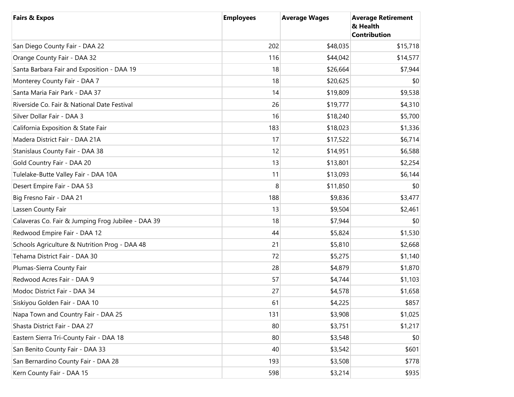| <b>Fairs &amp; Expos</b>                           | <b>Employees</b> | <b>Average Wages</b> | <b>Average Retirement</b><br>& Health<br><b>Contribution</b> |
|----------------------------------------------------|------------------|----------------------|--------------------------------------------------------------|
| San Diego County Fair - DAA 22                     | 202              | \$48,035             | \$15,718                                                     |
| Orange County Fair - DAA 32                        | 116              | \$44,042             | \$14,577                                                     |
| Santa Barbara Fair and Exposition - DAA 19         | 18               | \$26,664             | \$7,944                                                      |
| Monterey County Fair - DAA 7                       | 18               | \$20,625             | \$0                                                          |
| Santa Maria Fair Park - DAA 37                     | 14               | \$19,809             | \$9,538                                                      |
| Riverside Co. Fair & National Date Festival        | 26               | \$19,777             | \$4,310                                                      |
| Silver Dollar Fair - DAA 3                         | 16               | \$18,240             | \$5,700                                                      |
| California Exposition & State Fair                 | 183              | \$18,023             | \$1,336                                                      |
| Madera District Fair - DAA 21A                     | 17               | \$17,522             | \$6,714                                                      |
| Stanislaus County Fair - DAA 38                    | 12               | \$14,951             | \$6,588                                                      |
| Gold Country Fair - DAA 20                         | 13               | \$13,801             | \$2,254                                                      |
| Tulelake-Butte Valley Fair - DAA 10A               | 11               | \$13,093             | \$6,144                                                      |
| Desert Empire Fair - DAA 53                        | 8                | \$11,850             | \$0                                                          |
| Big Fresno Fair - DAA 21                           | 188              | \$9,836              | \$3,477                                                      |
| Lassen County Fair                                 | 13               | \$9,504              | \$2,461                                                      |
| Calaveras Co. Fair & Jumping Frog Jubilee - DAA 39 | 18               | \$7,944              | \$0                                                          |
| Redwood Empire Fair - DAA 12                       | 44               | \$5,824              | \$1,530                                                      |
| Schools Agriculture & Nutrition Prog - DAA 48      | 21               | \$5,810              | \$2,668                                                      |
| Tehama District Fair - DAA 30                      | 72               | \$5,275              | \$1,140                                                      |
| Plumas-Sierra County Fair                          | 28               | \$4,879              | \$1,870                                                      |
| Redwood Acres Fair - DAA 9                         | 57               | \$4,744              | \$1,103                                                      |
| Modoc District Fair - DAA 34                       | 27               | \$4,578              | \$1,658                                                      |
| Siskiyou Golden Fair - DAA 10                      | 61               | \$4,225              | \$857                                                        |
| Napa Town and Country Fair - DAA 25                | 131              | \$3,908              | \$1,025                                                      |
| Shasta District Fair - DAA 27                      | 80               | \$3,751              | \$1,217                                                      |
| Eastern Sierra Tri-County Fair - DAA 18            | 80               | \$3,548              | \$0                                                          |
| San Benito County Fair - DAA 33                    | 40               | \$3,542              | \$601                                                        |
| San Bernardino County Fair - DAA 28                | 193              | \$3,508              | \$778                                                        |
| Kern County Fair - DAA 15                          | 598              | \$3,214              | \$935                                                        |